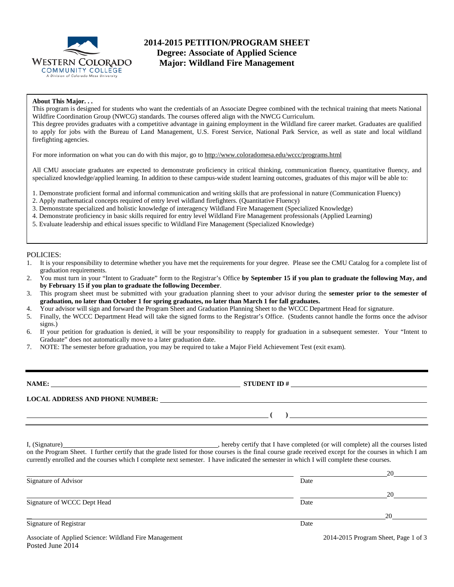

# **2014-2015 PETITION/PROGRAM SHEET Degree: Associate of Applied Science Major: Wildland Fire Management**

#### **About This Major. . .**

This program is designed for students who want the credentials of an Associate Degree combined with the technical training that meets National Wildfire Coordination Group (NWCG) standards. The courses offered align with the NWCG Curriculum. This degree provides graduates with a competitive advantage in gaining employment in the Wildland fire career market. Graduates are qualified

to apply for jobs with the Bureau of Land Management, U.S. Forest Service, National Park Service, as well as state and local wildland firefighting agencies.

For more information on what you can do with this major, go to http://www.coloradomesa.edu/wccc/programs.html

All CMU associate graduates are expected to demonstrate proficiency in critical thinking, communication fluency, quantitative fluency, and specialized knowledge/applied learning. In addition to these campus-wide student learning outcomes, graduates of this major will be able to:

- 1. Demonstrate proficient formal and informal communication and writing skills that are professional in nature (Communication Fluency)
- 2. Apply mathematical concepts required of entry level wildland firefighters. (Quantitative Fluency)
- 3. Demonstrate specialized and holistic knowledge of interagency Wildland Fire Management (Specialized Knowledge)
- 4. Demonstrate proficiency in basic skills required for entry level Wildland Fire Management professionals (Applied Learning)
- 5. Evaluate leadership and ethical issues specific to Wildland Fire Management (Specialized Knowledge)

#### POLICIES:

- 1. It is your responsibility to determine whether you have met the requirements for your degree. Please see the CMU Catalog for a complete list of graduation requirements.
- 2. You must turn in your "Intent to Graduate" form to the Registrar's Office **by September 15 if you plan to graduate the following May, and by February 15 if you plan to graduate the following December**.
- 3. This program sheet must be submitted with your graduation planning sheet to your advisor during the **semester prior to the semester of graduation, no later than October 1 for spring graduates, no later than March 1 for fall graduates.**
- 4. Your advisor will sign and forward the Program Sheet and Graduation Planning Sheet to the WCCC Department Head for signature.
- 5. Finally, the WCCC Department Head will take the signed forms to the Registrar's Office. (Students cannot handle the forms once the advisor signs.)
- 6. If your petition for graduation is denied, it will be your responsibility to reapply for graduation in a subsequent semester. Your "Intent to Graduate" does not automatically move to a later graduation date.
- 7. NOTE: The semester before graduation, you may be required to take a Major Field Achievement Test (exit exam).

**NAME:** STUDENT ID #

**LOCAL ADDRESS AND PHONE NUMBER:**

**( )** 

I, (Signature) , hereby certify that I have completed (or will complete) all the courses listed on the Program Sheet. I further certify that the grade listed for those courses is the final course grade received except for the courses in which I am currently enrolled and the courses which I complete next semester. I have indicated the semester in which I will complete these courses.

|                                                                            |      | 20                                   |
|----------------------------------------------------------------------------|------|--------------------------------------|
| Signature of Advisor                                                       | Date |                                      |
|                                                                            |      | 20                                   |
| Signature of WCCC Dept Head                                                | Date |                                      |
|                                                                            |      | 20                                   |
| Signature of Registrar                                                     | Date |                                      |
| Associate of Applied Science: Wildland Fire Management<br>Posted June 2014 |      | 2014-2015 Program Sheet, Page 1 of 3 |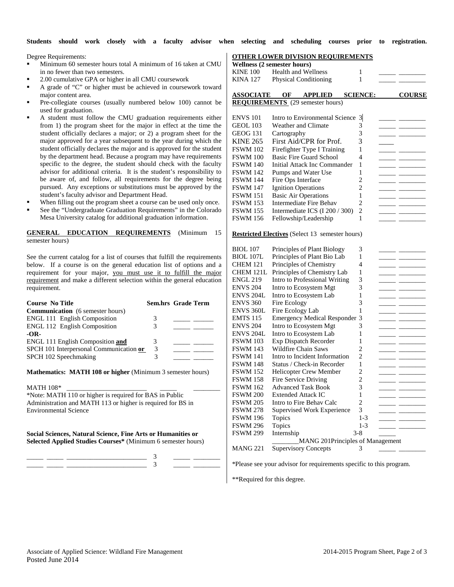**Students should work closely with a faculty advisor when selecting and scheduling courses prior to registration.** 

Degree Requirements:

- Minimum 60 semester hours total A minimum of 16 taken at CMU in no fewer than two semesters.
- 2.00 cumulative GPA or higher in all CMU coursework
- A grade of "C" or higher must be achieved in coursework toward major content area.
- Pre-collegiate courses (usually numbered below 100) cannot be used for graduation.
- A student must follow the CMU graduation requirements either from 1) the program sheet for the major in effect at the time the student officially declares a major; or 2) a program sheet for the major approved for a year subsequent to the year during which the student officially declares the major and is approved for the student by the department head. Because a program may have requirements specific to the degree, the student should check with the faculty advisor for additional criteria. It is the student's responsibility to be aware of, and follow, all requirements for the degree being pursued. Any exceptions or substitutions must be approved by the student's faculty advisor and Department Head.
- When filling out the program sheet a course can be used only once.
- See the "Undergraduate Graduation Requirements" in the Colorado Mesa University catalog for additional graduation information.

#### **GENERAL EDUCATION REQUIREMENTS** (Minimum 15 semester hours)

See the current catalog for a list of courses that fulfill the requirements below. If a course is on the general education list of options and a requirement for your major, you must use it to fulfill the major requirement and make a different selection within the general education requirement.

| <b>Course No Title</b>                  |   | Sem.hrs Grade Term |
|-----------------------------------------|---|--------------------|
| <b>Communication</b> (6 semester hours) |   |                    |
| <b>ENGL 111 English Composition</b>     | 3 |                    |
| <b>ENGL 112 English Composition</b>     | 3 |                    |
| $-OR-$                                  |   |                    |
| <b>ENGL 111 English Composition and</b> | 3 |                    |
| SPCH 101 Interpersonal Communication or | 3 |                    |
| SPCH 102 Speechmaking                   | 3 |                    |
|                                         |   |                    |

**Mathematics: MATH 108 or higher** (Minimum 3 semester hours)

MATH 108\*

\*Note: MATH 110 or higher is required for BAS in Public Administration and MATH 113 or higher is required for BS in Environmental Science

**Social Sciences, Natural Science, Fine Arts or Humanities or Selected Applied Studies Courses\*** (Minimum 6 semester hours)

\_\_\_\_\_ \_\_\_\_\_ \_\_\_\_\_\_\_\_\_\_\_\_\_\_\_\_\_\_\_\_\_\_\_\_ 3 \_\_\_\_\_ \_\_\_\_\_\_\_\_ \_\_\_\_\_ \_\_\_\_\_ \_\_\_\_\_\_\_\_\_\_\_\_\_\_\_\_\_\_\_\_\_\_\_\_ 3 \_\_\_\_\_ \_\_\_\_\_\_\_\_

### **OTHER LOWER DIVISION REQUIREMENTS**

|                     | <u> UTHEN LUMEN DI MBION NEQUINEMEN</u><br><b>Wellness (2 semester hours)</b> | <u>110</u>              |                          |                                                                                                                                                                                                                                      |
|---------------------|-------------------------------------------------------------------------------|-------------------------|--------------------------|--------------------------------------------------------------------------------------------------------------------------------------------------------------------------------------------------------------------------------------|
| <b>KINE 100</b>     | <b>Health and Wellness</b>                                                    | 1                       |                          |                                                                                                                                                                                                                                      |
|                     | KINA 127 Physical Conditioning                                                | 1                       |                          |                                                                                                                                                                                                                                      |
|                     |                                                                               |                         |                          |                                                                                                                                                                                                                                      |
| <b>ASSOCIATE OF</b> | <b>APPLIED</b>                                                                | <b>SCIENCE:</b>         |                          | <b>COURSE</b>                                                                                                                                                                                                                        |
|                     | <b>REQUIREMENTS</b> (29 semester hours)                                       |                         |                          |                                                                                                                                                                                                                                      |
|                     |                                                                               |                         |                          |                                                                                                                                                                                                                                      |
| <b>ENVS 101</b>     | Intro to Environmental Science                                                | $\overline{\mathbf{3}}$ |                          |                                                                                                                                                                                                                                      |
| GEOL 103            | Weather and Climate                                                           | 3                       |                          | $\overline{\phantom{0}}$                                                                                                                                                                                                             |
| GEOG 131            | Cartography                                                                   | 3                       |                          |                                                                                                                                                                                                                                      |
| <b>KINE 265</b>     | First Aid/CPR for Prof.                                                       | 3                       |                          |                                                                                                                                                                                                                                      |
| <b>FSWM 102</b>     | Firefighter Type I Training                                                   | 1                       |                          |                                                                                                                                                                                                                                      |
| <b>FSWM 100</b>     | Basic Fire Guard School                                                       | 4                       |                          | $ -$                                                                                                                                                                                                                                 |
| <b>FSWM 140</b>     | Initial Attack Inc Commander                                                  | 1                       |                          |                                                                                                                                                                                                                                      |
| <b>FSWM 142</b>     | Pumps and Water Use                                                           | 1                       |                          |                                                                                                                                                                                                                                      |
| <b>FSWM 144</b>     | Fire Ops Interface                                                            | 2                       |                          | $ -$                                                                                                                                                                                                                                 |
| <b>FSWM 147</b>     | <b>Ignition Operations</b>                                                    | 2                       |                          |                                                                                                                                                                                                                                      |
| <b>FSWM 151</b>     | <b>Basic Air Operations</b>                                                   | 1                       |                          |                                                                                                                                                                                                                                      |
| <b>FSWM 153</b>     | <b>Intermediate Fire Behav</b>                                                | $\overline{2}$          |                          |                                                                                                                                                                                                                                      |
| <b>FSWM 155</b>     | Intermediate ICS (I 200 / 300)                                                | 2                       |                          |                                                                                                                                                                                                                                      |
| <b>FSWM 156</b>     | Fellowship/Leadership                                                         | 1                       |                          |                                                                                                                                                                                                                                      |
|                     |                                                                               |                         |                          |                                                                                                                                                                                                                                      |
|                     | <b>Restricted Electives</b> (Select 13 semester hours)                        |                         |                          |                                                                                                                                                                                                                                      |
|                     |                                                                               |                         |                          |                                                                                                                                                                                                                                      |
| <b>BIOL</b> 107     | Principles of Plant Biology                                                   | 3                       |                          |                                                                                                                                                                                                                                      |
| <b>BIOL 107L</b>    | Principles of Plant Bio Lab                                                   | 1                       |                          | $ -$                                                                                                                                                                                                                                 |
| <b>CHEM 121</b>     | Principles of Chemistry                                                       | 4                       |                          | $ -$                                                                                                                                                                                                                                 |
| CHEM 121L           | Principles of Chemistry Lab                                                   | 1                       |                          |                                                                                                                                                                                                                                      |
| <b>ENGL 219</b>     | Intro to Professional Writing                                                 | 3                       |                          |                                                                                                                                                                                                                                      |
| <b>ENVS 204</b>     | Intro to Ecosystem Mgt                                                        | 3                       |                          | $\overline{\phantom{a}}$                                                                                                                                                                                                             |
| <b>ENVS 204L</b>    | Intro to Ecosystem Lab                                                        | 1                       | -- -                     |                                                                                                                                                                                                                                      |
| <b>ENVS 360</b>     | Fire Ecology                                                                  | 3                       |                          | $\overline{\phantom{a}}$ and $\overline{\phantom{a}}$                                                                                                                                                                                |
| ENVS 360L           | Fire Ecology Lab                                                              | 1                       |                          |                                                                                                                                                                                                                                      |
| <b>EMTS</b> 115     | <b>Emergency Medical Responder</b>                                            | 3                       |                          | —— —                                                                                                                                                                                                                                 |
| <b>ENVS 204</b>     | Intro to Ecosystem Mgt                                                        | 3                       |                          |                                                                                                                                                                                                                                      |
| ENVS 204L           | Intro to Ecosystem Lab                                                        | 1                       |                          | __ __                                                                                                                                                                                                                                |
| <b>FSWM 103</b>     | Exp Dispatch Recorder                                                         | 1                       | $\overline{\phantom{a}}$ |                                                                                                                                                                                                                                      |
| <b>FSWM 143</b>     | Wildfire Chain Saws                                                           | 2                       |                          |                                                                                                                                                                                                                                      |
| <b>FSWM 141</b>     | Intro to Incident Information                                                 | $\overline{c}$          |                          |                                                                                                                                                                                                                                      |
| <b>FSWM 148</b>     | Status / Check-in Recorder                                                    | 1                       |                          | <u> Albany Albany (Albany Albany Albany Albany Albany Albany Albany Albany Albany Albany Albany Albany Albany Albany Albany Albany Albany Albany Albany Albany Albany Albany Albany Albany Albany Albany Albany Albany Albany Al</u> |
| <b>FSWM 152</b>     | <b>Helicopter Crew Member</b>                                                 | 2                       |                          | $ -$                                                                                                                                                                                                                                 |
| <b>FSWM 158</b>     | Fire Service Driving                                                          | 2                       |                          | - -                                                                                                                                                                                                                                  |
| FSWM 162            | <b>Advanced Task Book</b>                                                     | 3                       |                          | $\overline{\phantom{a}}$                                                                                                                                                                                                             |
| <b>FSWM 200</b>     | <b>Extended Attack IC</b>                                                     | 1                       |                          |                                                                                                                                                                                                                                      |
| <b>FSWM 205</b>     | Intro to Fire Behav Calc                                                      | 2                       |                          |                                                                                                                                                                                                                                      |
| <b>FSWM 278</b>     | <b>Supervised Work Experience</b>                                             | 3                       |                          |                                                                                                                                                                                                                                      |
| <b>FSWM 196</b>     | Topics                                                                        | $1-3$                   |                          |                                                                                                                                                                                                                                      |
| <b>FSWM 296</b>     | Topics                                                                        | $1-3$                   |                          |                                                                                                                                                                                                                                      |
| <b>FSWM 299</b>     | Internship                                                                    | 3-8                     |                          |                                                                                                                                                                                                                                      |
|                     | MANG 201Principles of Management                                              |                         |                          |                                                                                                                                                                                                                                      |
| <b>MANG 221</b>     | <b>Supervisory Concepts</b>                                                   | 3                       |                          |                                                                                                                                                                                                                                      |

\*Please see your advisor for requirements specific to this program.

\*\*Required for this degree.